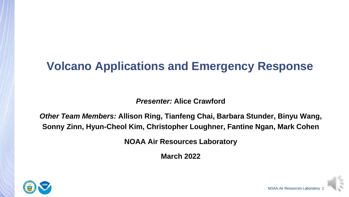# **Volcano Applications and Emergency Response**

*Presenter:* **Alice Crawford**

*Other Team Members:* **Allison Ring, Tianfeng Chai, Barbara Stunder, Binyu Wang, Sonny Zinn, Hyun-Cheol Kim, Christopher Loughner, Fantine Ngan, Mark Cohen**

**NOAA Air Resources Laboratory**

**March 2022**



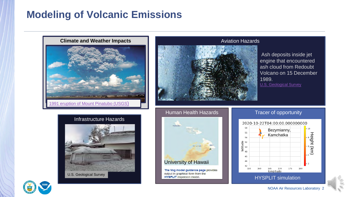### **Modeling of Volcanic Emissions**



#### Aviation Hazards

Ash deposits inside jet engine that encountered ash cloud from Redoubt Volcano on 15 December 1989.

[U.S. Geological Survey](https://volcanoes.usgs.gov/volcanic_ash/ash_clouds_air_routes_effects_on_aircraft.html)

#### Infrastructure Hazards



#### Human Health Hazards



#### Tracer of opportunity

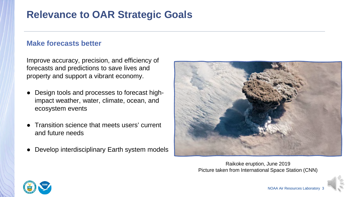### **Relevance to OAR Strategic Goals**

#### **Make forecasts better**

Improve accuracy, precision, and efficiency of forecasts and predictions to save lives and property and support a vibrant economy.

- Design tools and processes to forecast highimpact weather, water, climate, ocean, and ecosystem events
- Transition science that meets users' current and future needs
- Develop interdisciplinary Earth system models



Raikoke eruption, June 2019 Picture taken from International Space Station (CNN)

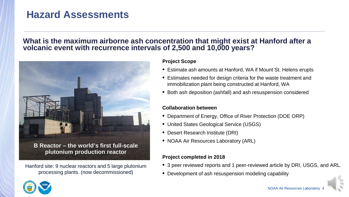### **Hazard Assessments**

#### **What is the maximum airborne ash concentration that might exist at Hanford after a volcanic event with recurrence intervals of 2,500 and 10,000 years?**



**B Reactor – the world's first full-scale plutonium production reactor**

Hanford site: 9 nuclear reactors and 5 large plutonium processing plants. (now decommissioned)

#### **Project Scope**

- Estimate ash amounts at Hanford, WA if Mount St. Helens erupts
- Estimates needed for design criteria for the waste treatment and immobilization plant being constructed at Hanford, WA
- Both ash deposition (ashfall) and ash resuspension considered

#### **Collaboration between**

- Department of Energy, Office of River Protection (DOE ORP)
- United States Geological Service (USGS)
- Desert Research Institute (DRI)
- NOAA Air Resources Laboratory (ARL)

#### **Project completed in 2018**

- 3 peer reviewed reports and 1 peer-reviewed article by DRI, USGS, and ARL.
- Development of ash resuspension modeling capability

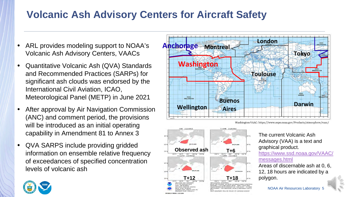## **Volcanic Ash Advisory Centers for Aircraft Safety**

- ARL provides modeling support to NOAA's Volcanic Ash Advisory Centers, VAACs
- Quantitative Volcanic Ash (QVA) Standards and Recommended Practices (SARPs) for significant ash clouds was endorsed by the International Civil Aviation, ICAO, Meteorological Panel (METP) in June 2021
- After approval by Air Navigation Commission (ANC) and comment period, the provisions will be introduced as an initial operating capability in Amendment 81 to Annex 3
- QVA SARPS include providing gridded information on ensemble relative frequency of exceedances of specified concentration levels of volcanic ash







The current Volcanic Ash Advisory (VAA) is a text and graphical product. [https://www.ssd.noaa.gov/VAAC/](https://www.ssd.noaa.gov/VAAC/messages.html) messages.html

Areas of discernable ash at 0, 6, 12, 18 hours are indicated by a polygon.

NOAA Air Resources Laboratory

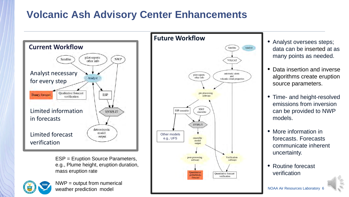## **Volcanic Ash Advisory Center Enhancements**



ESP = Eruption Source Parameters, e.g., Plume height, eruption duration, mass eruption rate



NWP = output from numerical weather prediction model



- Analyst oversees steps; data can be inserted at as many points as needed.
- Data insertion and inverse algorithms create eruption source parameters.
- Time- and height-resolved emissions from inversion can be provided to NWP models.
- More information in forecasts. Forecasts communicate inherent uncertainty.
- Routine forecast verification

**NOAA Air Resources Laboratory**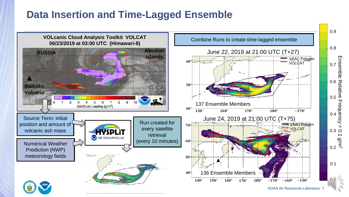### **Data Insertion and Time-Lagged Ensemble**

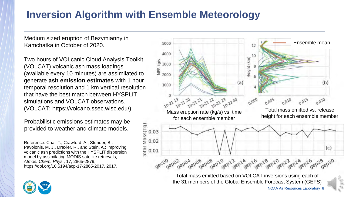### **Inversion Algorithm with Ensemble Meteorology**

Medium sized eruption of Bezymianny in Kamchatka in October of 2020.

Two hours of VOLcanic Cloud Analysis Toolkit (VOLCAT) volcanic ash mass loadings (available every 10 minutes) are assimilated to generate **ash emission estimates** with 1 hour temporal resolution and 1 km vertical resolution that have the best match between HYSPLIT simulations and VOLCAT observations.

Probabilistic emissions estimates may be provided to weather and climate models.

Reference: Chai, T., Crawford, A., Stunder, B., Pavolonis, M. J., Draxler, R., and Stein, A.: Improving volcanic ash predictions with the HYSPLIT dispersion model by assimilating MODIS satellite retrievals, *Atmos. Chem. Phys*., 17, 2865-2879, https://doi.org/10.5194/acp-17-2865-2017, 2017.



NOAA Air Resources Laboratory 8

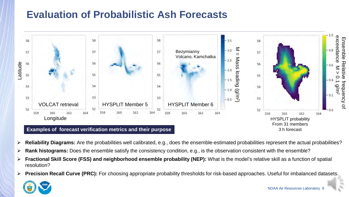# **Evaluation of Probabilistic Ash Forecasts**



- **Reliability Diagrams:** Are the probabilities well calibrated, e.g., does the ensemble-estimated probabilities represent the actual probabilities?
- **Rank histograms:** Does the ensemble satisfy the consistency condition, e.g., is the observation consistent with the ensemble?
- **Fractional Skill Score (FSS) and neighborhood ensemble probability (NEP):** What is the model's relative skill as a function of spatial resolution?
- **Precision Recall Curve (PRC):** For choosing appropriate probability thresholds for risk-based approaches. Useful for imbalanced datasets.

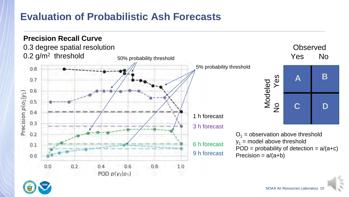### **Evaluation of Probabilistic Ash Forecasts**



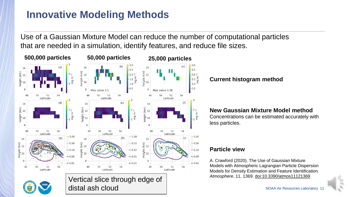# **Innovative Modeling Methods**

Use of a Gaussian Mixture Model can reduce the number of computational particles that are needed in a simulation, identify features, and reduce file sizes.



#### **Current histogram method**

#### **New Gaussian Mixture Model method**

Concentrations can be estimated accurately with less particles.

#### **Particle view**

A. Crawford (2020). The Use of Gaussian Mixture Models with Atmospheric Lagrangian Particle Dispersion Models for Density Estimation and Feature Identification*.*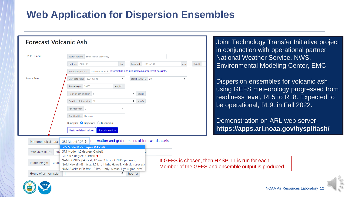## **Web Application for Dispersion Ensembles**

| <b>Forecast Volcanic Ash</b>                          |                                                                                         |                          |                                |               |  |
|-------------------------------------------------------|-----------------------------------------------------------------------------------------|--------------------------|--------------------------------|---------------|--|
| <b>HYSPLIT Input</b>                                  | Search volcano<br>Enter search keyword(s)                                               |                          |                                |               |  |
| Latitude                                              | -90 to 90<br>deg                                                                        | Longitude                | -180 to 180                    | Height<br>deg |  |
|                                                       | Meteorological data GFS Model 0.25 + Information and grid domains of forecast datasets. |                          |                                |               |  |
| Source Term                                           | Start date (UTC) 2021-02-03<br>$\Rightarrow$                                            | Start hour (UTC) 20      |                                | $\Rightarrow$ |  |
|                                                       | Plume height 30000<br>feet, MSL                                                         |                          |                                |               |  |
|                                                       | Hours of ash emission 1                                                                 | $\Rightarrow$<br>hour(s) |                                |               |  |
|                                                       | Duration of simulation 12                                                               | ٠<br>hour(s)             |                                |               |  |
| Ash reduction 0                                       | $\div$                                                                                  |                          |                                |               |  |
|                                                       | Run identifier Random                                                                   |                          |                                |               |  |
|                                                       | Run type: <b>O</b> Trajectory<br>◯ Dispersion                                           |                          |                                |               |  |
|                                                       | Restore default values<br><b>Start simulation</b>                                       |                          |                                |               |  |
| GFS Model 0.25 ♦<br>Meteorological data               | Information and grid domains of forecast datasets.                                      |                          |                                |               |  |
|                                                       | GFS Model 0.25 degree (Global)                                                          |                          |                                |               |  |
| 202 GFS Model 1.0 degree (Global)<br>Start date (UTC) | GEFS 0.5 degree (Global) <                                                              | Þ0                       | $\mathbf{r}$ of $\mathbf{r}$ . |               |  |

int Technology Transfer Initiative project conjunction with operational partner ational Weather Service, NWS, Ivironmental Modeling Center, EMC

spersion ensembles for volcanic ash ing GEFS meteorology progressed from adiness level, RL5 to RL8. Expected to operational, RL9, in Fall 2022.

emonstration on ARL web server: **https://apps.arl.noaa.gov/hysplitash/**



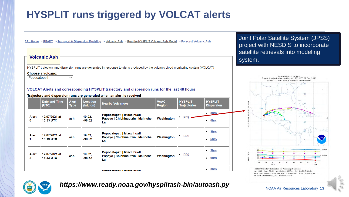# **HYSPLIT runs triggered by VOLCAT alerts**

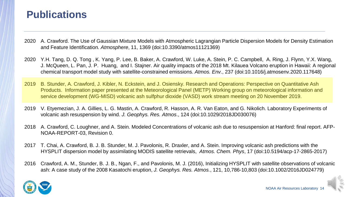#### **Publications**

- 2020 A. Crawford. The Use of Gaussian Mixture Models with Atmospheric Lagrangian Particle Dispersion Models for Density Estimation and Feature Identification*. Atmosphere*, 11, 1369 (doi:10.3390/atmos11121369)
- 2020 Y.H. Tang, D. Q. Tong , K. Yang, P. Lee, B. Baker, A. Crawford, W. Luke, A. Stein, P. C. Campbell, A. Ring, J. Flynn, Y.X. Wang, J. McQueen, L. Pan, J. P. Huang, and I. Stajner. Air quality impacts of the 2018 Mt. Kilauea Volcano eruption in Hawaii: A regional chemical transport model study with satellite-constrained emissions. *Atmos. Env.*, 237 (doi:10.1016/j.atmosenv.2020.117648)
- 2019 B. Stunder, A. Crawford, J. Kibler, N. Eckstein, and J. Osiensky. Research and Operations: Perspective on Quantitative Ash Products. Information paper presented at the Meteorological Panel (METP) Working group on meteorological information and service development (WG-MISD) volcanic ash sulfphur dioxide (VASD) work stream meeting on 20 November 2019.
- 2019 V. Etyemezian, J. A. Gillies, L. G. Mastin, A. Crawford, R. Hasson, A. R. Van Eaton, and G. Nikolich. Laboratory Experiments of volcanic ash resuspension by wind. *J. Geophys. Res. Atmos*., 124 (doi:10.1029/2018JD030076)
- 2018 A. Crawford, C. Loughner, and A. Stein. Modeled Concentrations of volcanic ash due to resuspension at Hanford: final report. AFP-NOAA-REPORT-03, Revision 0.
- 2017 T. Chai, A. Crawford, B. J. B. Stunder, M. J. Pavolonis, R. Draxler, and A. Stein. Improving volcanic ash predictions with the HYSPLIT dispersion model by assimilating MODIS satellite retrievals, *Atmos. Chem. Phys*, 17 (doi:10.5194/acp-17-2865-2017)
- 2016 Crawford, A. M., Stunder, B. J. B., Ngan, F., and Pavolonis, M. J. (2016), Initializing HYSPLIT with satellite observations of volcanic ash: A case study of the 2008 Kasatochi eruption, *J. Geophys. Res. Atmos.*, 121, 10,786-10,803 (doi:10.1002/2016JD024779)

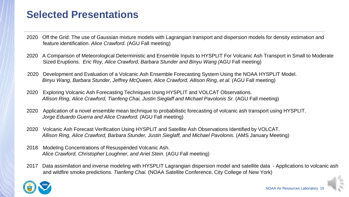### **Selected Presentations**

- 2020 Off the Grid: The use of Gaussian mixture models with Lagrangian transport and dispersion models for density estimation and feature identification. *Alice Crawford. (*AGU Fall meeting)
- 2020 A Comparison of Meteorological Deterministic and Ensemble Inputs to HYSPLIT For Volcanic Ash Transport in Small to Moderate Sized Eruptions. *Eric Roy, Alice Crawford, Barbara Stunder and Binyu Wang (*AGU Fall meeting)
- 2020 Development and Evaluation of a Volcanic Ash Ensemble Forecasting System Using the NOAA HYSPLIT Model. *Binyu Wang, Barbara Stunder, Jeffrey McQueen, Alice Crawford, Allison Ring, et al. (*AGU Fall meeting)
- 2020 Exploring Volcanic Ash Forecasting Techniques Using HYSPLIT and VOLCAT Observations. *Allison Ring, Alice Crawford, Tianfeng Chai, Justin Sieglaff and Michael Pavolonis Sr.* (AGU Fall meeting)
- 2020 Application of a novel ensemble mean technique to probabilistic forecasting of volcanic ash transport using HYSPLIT. *Jorge Eduardo Guerra and Alice Crawford. (*AGU Fall meeting)
- 2020 Volcanic Ash Forecast Verification Using HYSPLIT and Satellite Ash Observations Identified by VOLCAT. *Allison Ring, Alice Crawford, Barbara Stunder, Justin Sieglaff, and Michael Pavolonis.* (AMS January Meeting)
- 2018 Modeling Concentrations of Resuspended Volcanic Ash. *Alice Crawford, Christopher Loughner, and Ariel Stein.* (AGU Fall meeting)
- 2017 Data assimilation and inverse modeling with HYSPLIT Lagrangian dispersion model and satellite data Applications to volcanic ash and wildfire smoke predictions. *Tianfeng Chai.* (NOAA Satellite Conference, City College of New York)

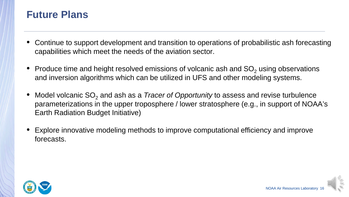#### **Future Plans**

- Continue to support development and transition to operations of probabilistic ash forecasting capabilities which meet the needs of the aviation sector.
- Produce time and height resolved emissions of volcanic ash and  $SO<sub>2</sub>$  using observations and inversion algorithms which can be utilized in UFS and other modeling systems.
- Model volcanic SO<sub>2</sub> and ash as a *Tracer of Opportunity* to assess and revise turbulence parameterizations in the upper troposphere / lower stratosphere (e.g., in support of NOAA's Earth Radiation Budget Initiative)
- Explore innovative modeling methods to improve computational efficiency and improve forecasts.